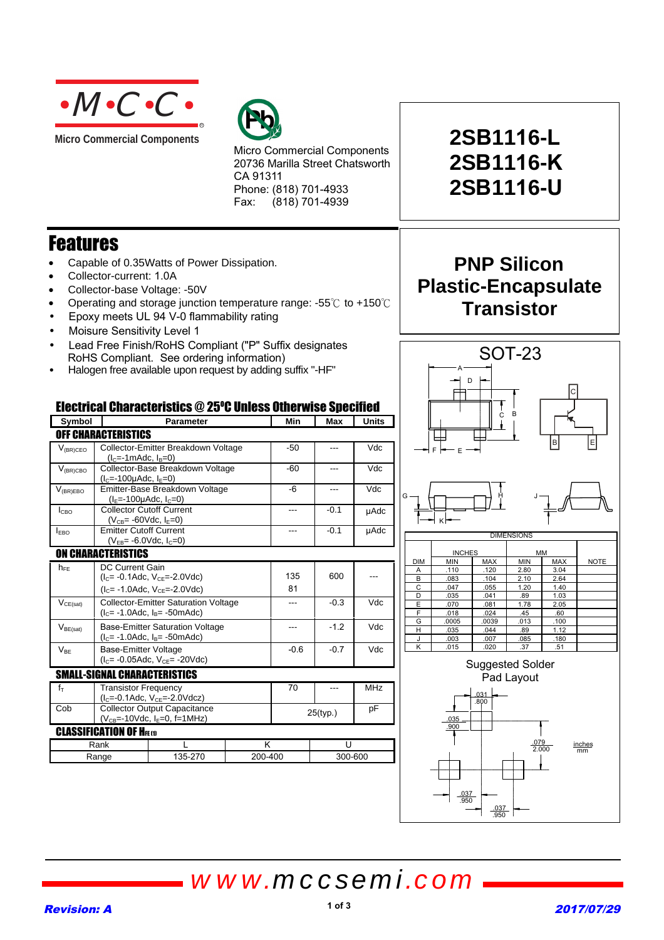

**Micro Commercial Components** 



Micro Commercial Components 20736 Marilla Street Chatsworth CA 91311 Phone: (818) 701-4933 Fax: (818) 701-4939

### Features

- Capable of 0.35Watts of Power Dissipation.
- Collector-current: 1.0A
- Collector-base Voltage: -50V
- Operating and storage junction temperature range:  $-55^{\circ}$  to  $+150^{\circ}$
- Epoxy meets UL 94 V-0 flammability rating
- Moisure Sensitivity Level 1
- Lead Free Finish/RoHS Compliant ("P" Suffix designates RoHS Compliant. See ordering information)
- Halogen free available upon request by adding suffix "-HF"

#### Electrical Characteristics @ 25°C Unless Otherwise Specified

| Symbol        |                                                                                           | <b>Parameter</b> |           | Min    | Max     | <b>Units</b> |  |
|---------------|-------------------------------------------------------------------------------------------|------------------|-----------|--------|---------|--------------|--|
|               | <b>OFF CHARACTERISTICS</b>                                                                |                  |           |        |         |              |  |
| $V_{(BR)CEO}$ | Collector-Emitter Breakdown Voltage<br>$(lc=-1m$ Adc, $lB=0$ )                            |                  | $-50$     | ---    | Vdc     |              |  |
| $V_{(BR)CBO}$ | Collector-Base Breakdown Voltage<br>$(lC=-100\mu Adc, lE=0)$                              |                  |           | $-60$  | ---     | Vdc          |  |
| $V_{(BR)EBO}$ | Emitter-Base Breakdown Voltage<br>$(I_F = -100 \mu \text{Ad}c, I_C = 0)$                  |                  |           | -6     | ---     | Vdc          |  |
| Iсво          | <b>Collector Cutoff Current</b><br>$(V_{CB} = -60Vdc, I_E = 0)$                           |                  |           | $---$  | $-0.1$  | µAdc         |  |
| <b>IEBO</b>   | <b>Emitter Cutoff Current</b><br>$(V_{FB} = -6.0$ Vdc, $I_c = 0)$                         |                  |           | ---    | $-0.1$  | <b>µAdc</b>  |  |
|               | <b>ON CHARACTERISTICS</b>                                                                 |                  |           |        |         |              |  |
| $h_{FE}$      | DC Current Gain<br>$(IC= -0.1$ Adc, $VCE= -2.0$ Vdc)<br>$(IC= -1.0$ Adc, $VCE= -2.0$ Vdc) |                  | 135<br>81 | 600    |         |              |  |
| $V_{CE(sat)}$ | <b>Collector-Emitter Saturation Voltage</b><br>$(lC= -1.0$ Adc, $lB= -50$ mAdc)           |                  |           | ---    | $-0.3$  | Vdc          |  |
| $V_{BE(sat)}$ | <b>Base-Emitter Saturation Voltage</b><br>$(lC= -1.0$ Adc, $lB= -50$ mAdc)                |                  | ---       | $-1.2$ | Vdc     |              |  |
| $V_{BE}$      | <b>Base-Emitter Voltage</b><br>$(IC= -0.05$ Adc, $VCF= -20$ Vdc)                          |                  | $-0.6$    | $-0.7$ | Vdc     |              |  |
|               | <b>SMALL-SIGNAL CHARACTERISTICS</b>                                                       |                  |           |        |         |              |  |
| $f_T$         | <b>Transistor Frequency</b><br>$(IC=-0.1Adc, VCE=-2.0Vdcz)$                               |                  |           | 70     |         | <b>MHz</b>   |  |
| Cob           | <b>Collector Output Capacitance</b><br>$(V_{CB} = -10$ Vdc, $I_E = 0$ , f = 1 MHz)        |                  | 25(typ.)  |        | рF      |              |  |
|               | <b>CLASSIFICATION OF HEED</b>                                                             |                  |           |        |         |              |  |
|               | Rank                                                                                      |                  |           | K      |         | U            |  |
| Range         |                                                                                           | 135-270          | 200-400   |        | 300-600 |              |  |

# **2SB1116-L 2SB1116-K 2SB1116-U**

### **PNP Silicon Plastic-Encapsulate Transistor**



.037 .950

.037 .950

## *www.mccsemi.com*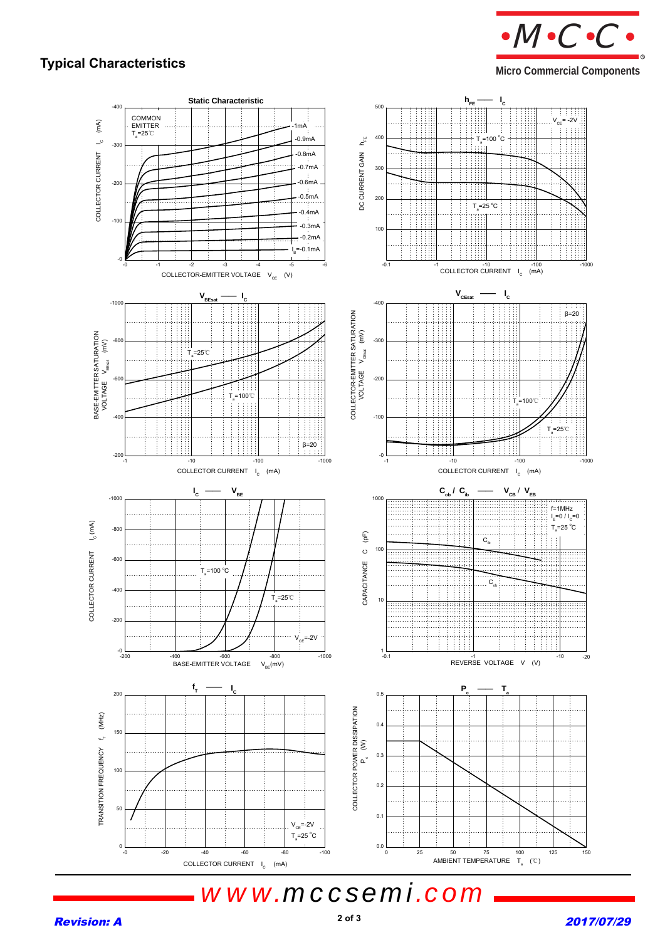### **Typical Characteristics Micro Commercial Components Micro Commercial Components**

 $M \cdot C \cdot C$ 

R



*www.mccsemi.com*

#### **Revision: A** 2017/07/29